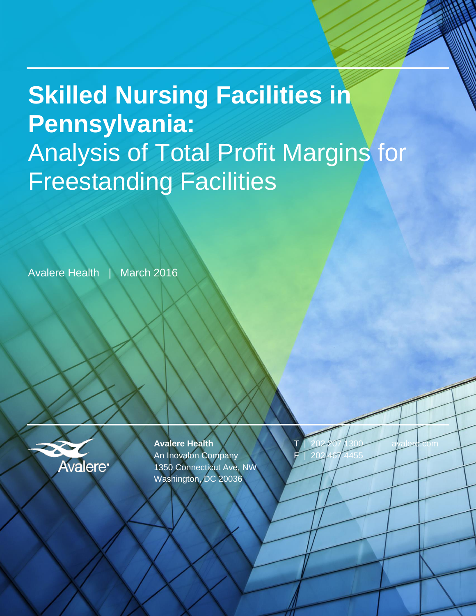# **Skilled Nursing Facilities in Pennsylvania:** Analysis of Total Profit Margins for Freestanding Facilities

Avalere Health | March 2016



**Avalere Health** An Inovalon Company 1350 Connecticut Ave, NW Washington, DC 20036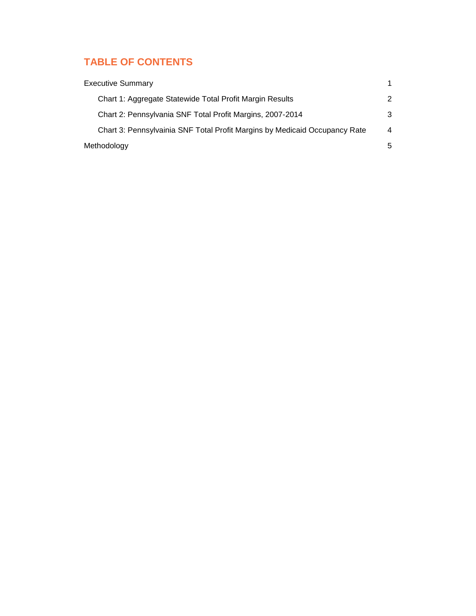## **TABLE OF CONTENTS**

| <b>Executive Summary</b>                                                   |                |
|----------------------------------------------------------------------------|----------------|
| Chart 1: Aggregate Statewide Total Profit Margin Results                   | 2              |
| Chart 2: Pennsylvania SNF Total Profit Margins, 2007-2014                  | 3              |
| Chart 3: Pennsylvainia SNF Total Profit Margins by Medicaid Occupancy Rate | $\overline{4}$ |
| Methodology                                                                | 5              |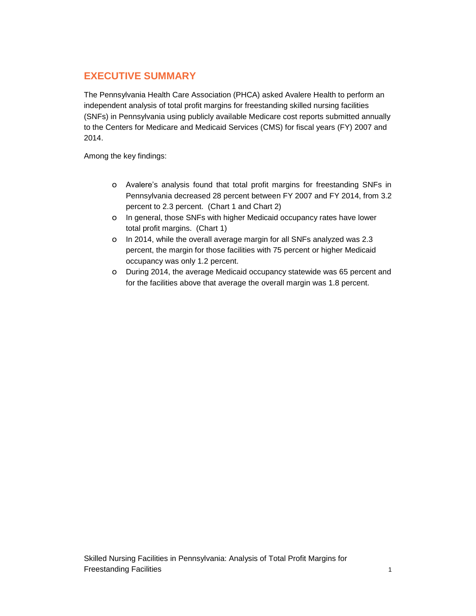### **EXECUTIVE SUMMARY**

The Pennsylvania Health Care Association (PHCA) asked Avalere Health to perform an independent analysis of total profit margins for freestanding skilled nursing facilities (SNFs) in Pennsylvania using publicly available Medicare cost reports submitted annually to the Centers for Medicare and Medicaid Services (CMS) for fiscal years (FY) 2007 and 2014.

Among the key findings:

- o Avalere's analysis found that total profit margins for freestanding SNFs in Pennsylvania decreased 28 percent between FY 2007 and FY 2014, from 3.2 percent to 2.3 percent. (Chart 1 and Chart 2)
- o In general, those SNFs with higher Medicaid occupancy rates have lower total profit margins. (Chart 1)
- o In 2014, while the overall average margin for all SNFs analyzed was 2.3 percent, the margin for those facilities with 75 percent or higher Medicaid occupancy was only 1.2 percent.
- o During 2014, the average Medicaid occupancy statewide was 65 percent and for the facilities above that average the overall margin was 1.8 percent.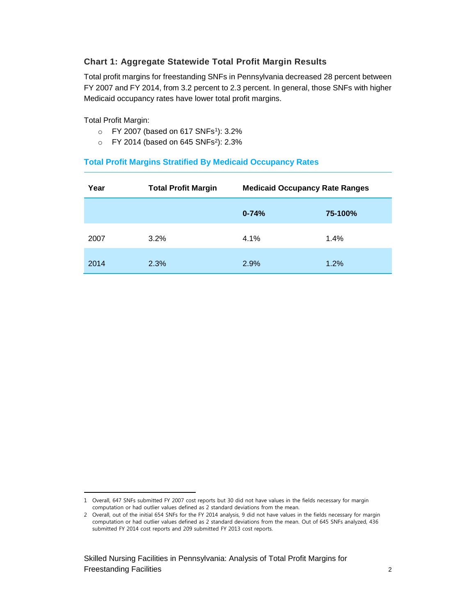#### **Chart 1: Aggregate Statewide Total Profit Margin Results**

Total profit margins for freestanding SNFs in Pennsylvania decreased 28 percent between FY 2007 and FY 2014, from 3.2 percent to 2.3 percent. In general, those SNFs with higher Medicaid occupancy rates have lower total profit margins.

Total Profit Margin:

- $\circ$  FY 2007 (based on 617 SNFs<sup>1</sup>): 3.2%
- $\circ$  FY 2014 (based on 645 SNFs<sup>2</sup>): 2.3%

#### **Total Profit Margins Stratified By Medicaid Occupancy Rates**

| Year | <b>Total Profit Margin</b> | <b>Medicaid Occupancy Rate Ranges</b> |         |
|------|----------------------------|---------------------------------------|---------|
|      |                            | $0 - 74%$                             | 75-100% |
| 2007 | $3.2\%$                    | 4.1%                                  | 1.4%    |
| 2014 | 2.3%                       | 2.9%                                  | 1.2%    |

 $\overline{a}$ 1 Overall, 647 SNFs submitted FY 2007 cost reports but 30 did not have values in the fields necessary for margin computation or had outlier values defined as 2 standard deviations from the mean.

<sup>2</sup> Overall, out of the initial 654 SNFs for the FY 2014 analysis, 9 did not have values in the fields necessary for margin computation or had outlier values defined as 2 standard deviations from the mean. Out of 645 SNFs analyzed, 436 submitted FY 2014 cost reports and 209 submitted FY 2013 cost reports.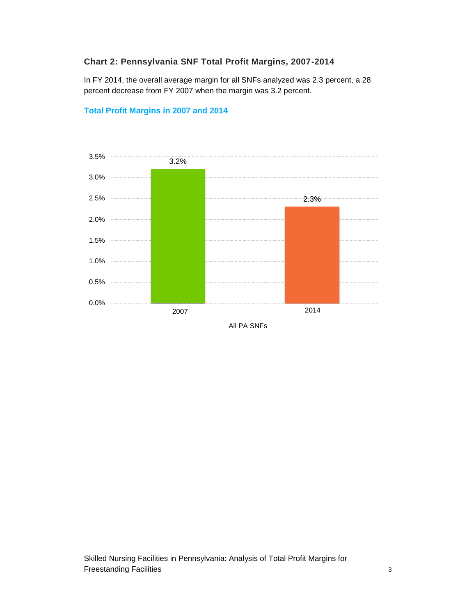#### **Chart 2: Pennsylvania SNF Total Profit Margins, 2007-2014**

In FY 2014, the overall average margin for all SNFs analyzed was 2.3 percent, a 28 percent decrease from FY 2007 when the margin was 3.2 percent.



#### **Total Profit Margins in 2007 and 2014**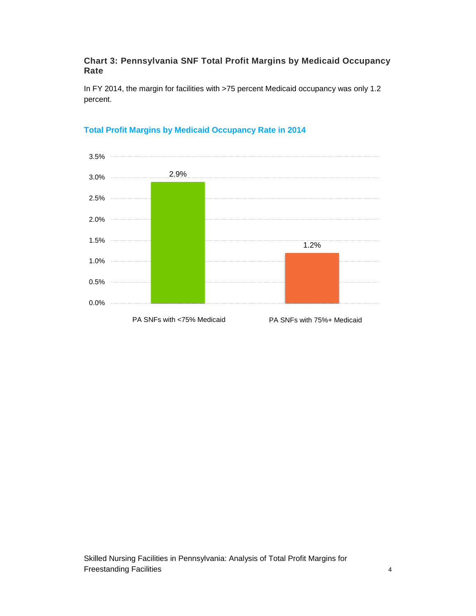#### **Chart 3: Pennsylvania SNF Total Profit Margins by Medicaid Occupancy Rate**

In FY 2014, the margin for facilities with >75 percent Medicaid occupancy was only 1.2 percent.



#### **Total Profit Margins by Medicaid Occupancy Rate in 2014**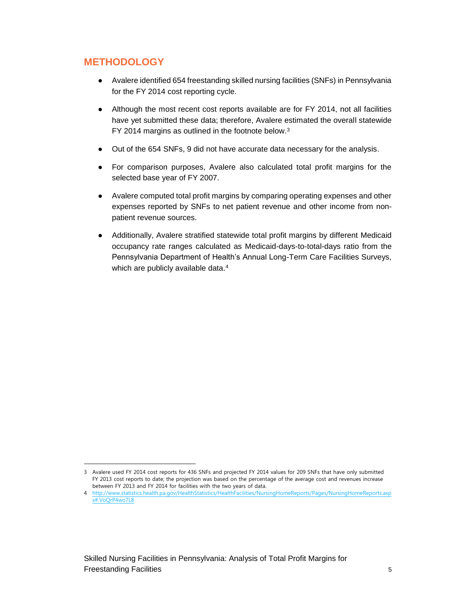### **METHODOLOGY**

 $\overline{a}$ 

- Avalere identified 654 freestanding skilled nursing facilities (SNFs) in Pennsylvania for the FY 2014 cost reporting cycle.
- Although the most recent cost reports available are for FY 2014, not all facilities have yet submitted these data; therefore, Avalere estimated the overall statewide FY 2014 margins as outlined in the footnote below.<sup>3</sup>
- Out of the 654 SNFs, 9 did not have accurate data necessary for the analysis.
- For comparison purposes, Avalere also calculated total profit margins for the selected base year of FY 2007.
- Avalere computed total profit margins by comparing operating expenses and other expenses reported by SNFs to net patient revenue and other income from nonpatient revenue sources.
- Additionally, Avalere stratified statewide total profit margins by different Medicaid occupancy rate ranges calculated as Medicaid-days-to-total-days ratio from the Pennsylvania Department of Health's Annual Long-Term Care Facilities Surveys, which are publicly available data.<sup>4</sup>

<sup>3</sup> Avalere used FY 2014 cost reports for 436 SNFs and projected FY 2014 values for 209 SNFs that have only submitted FY 2013 cost reports to date; the projection was based on the percentage of the average cost and revenues increase between FY 2013 and FY 2014 for facilities with the two years of data.

<sup>4</sup> [http://www.statistics.health.pa.gov/HealthStatistics/HealthFacilities/NursingHomeReports/Pages/NursingHomeReports.asp](http://www.statistics.health.pa.gov/HealthStatistics/HealthFacilities/NursingHomeReports/Pages/NursingHomeReports.aspx#.VoQrP4wo7L8) [x#.VoQrP4wo7L8](http://www.statistics.health.pa.gov/HealthStatistics/HealthFacilities/NursingHomeReports/Pages/NursingHomeReports.aspx#.VoQrP4wo7L8)